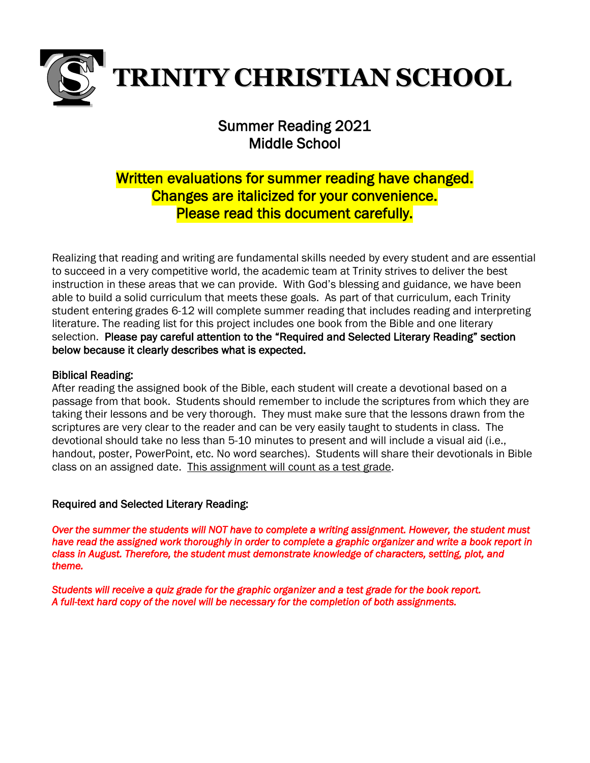

## Summer Reading 2021 Middle School

# Written evaluations for summer reading have changed. Changes are italicized for your convenience. Please read this document carefully.

Realizing that reading and writing are fundamental skills needed by every student and are essential to succeed in a very competitive world, the academic team at Trinity strives to deliver the best instruction in these areas that we can provide. With God's blessing and guidance, we have been able to build a solid curriculum that meets these goals. As part of that curriculum, each Trinity student entering grades 6-12 will complete summer reading that includes reading and interpreting literature. The reading list for this project includes one book from the Bible and one literary selection. Please pay careful attention to the "Required and Selected Literary Reading" section below because it clearly describes what is expected.

## Biblical Reading:

After reading the assigned book of the Bible, each student will create a devotional based on a passage from that book. Students should remember to include the scriptures from which they are taking their lessons and be very thorough. They must make sure that the lessons drawn from the scriptures are very clear to the reader and can be very easily taught to students in class. The devotional should take no less than 5-10 minutes to present and will include a visual aid (i.e., handout, poster, PowerPoint, etc. No word searches). Students will share their devotionals in Bible class on an assigned date. This assignment will count as a test grade.

### Required and Selected Literary Reading:

*Over the summer the students will NOT have to complete a writing assignment. However, the student must have read the assigned work thoroughly in order to complete a graphic organizer and write a book report in class in August. Therefore, the student must demonstrate knowledge of characters, setting, plot, and theme.* 

*Students will receive a quiz grade for the graphic organizer and a test grade for the book report. A full-text hard copy of the novel will be necessary for the completion of both assignments.*